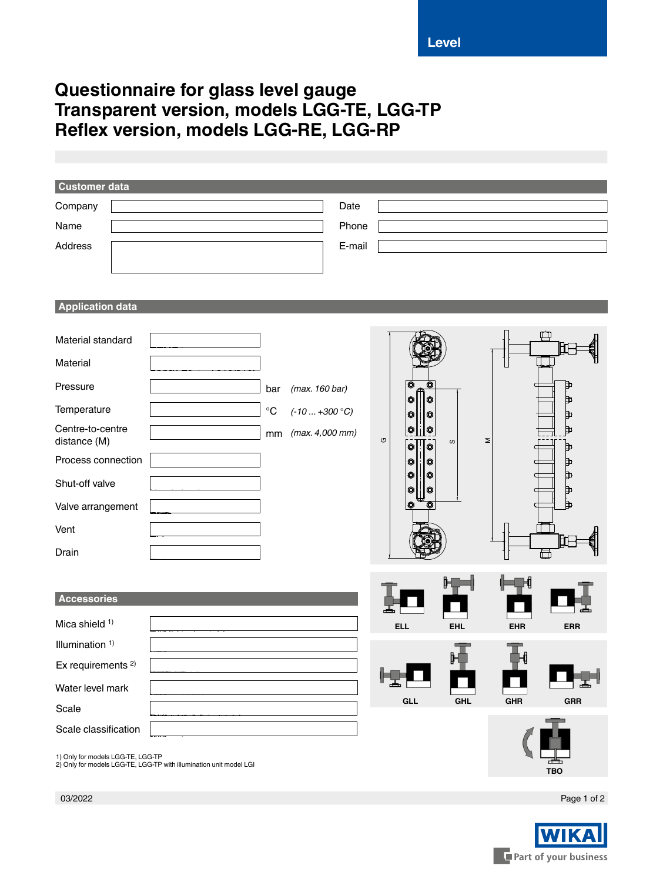## **Questionnaire for glass level gauge Transparent version, models LGG-TE, LGG-TP Reflex version, models LGG-RE, LGG-RP**

| <b>Customer data</b>              |                                                                    |                                     |                 |          |                                                     |            |            |            |
|-----------------------------------|--------------------------------------------------------------------|-------------------------------------|-----------------|----------|-----------------------------------------------------|------------|------------|------------|
| Company                           |                                                                    |                                     | Date            |          |                                                     |            |            |            |
| Name                              |                                                                    |                                     | Phone           |          |                                                     |            |            |            |
| Address                           |                                                                    |                                     | E-mail          |          |                                                     |            |            |            |
|                                   |                                                                    |                                     |                 |          |                                                     |            |            |            |
|                                   |                                                                    |                                     |                 |          |                                                     |            |            |            |
| <b>Application data</b>           |                                                                    |                                     |                 |          |                                                     |            |            |            |
| Material standard                 |                                                                    |                                     |                 |          |                                                     |            |            |            |
| Material                          |                                                                    |                                     |                 |          |                                                     |            |            |            |
| Pressure                          |                                                                    | (max. 160 bar)<br>bar               |                 |          | $ \bullet $<br>0<br>$\bullet$                       |            |            | Þ          |
| Temperature                       |                                                                    | $^\circ \text{C}$<br>$(-10+300 °C)$ |                 |          | ⊙<br>⊙<br>$\bullet$                                 |            |            | Ъ<br>₿     |
| Centre-to-centre<br>distance (M)  |                                                                    | mm                                  | (max. 4,000 mm) | $\sigma$ | $\boxed{\mathbf{0}}$<br>$\bullet$<br>$\bullet$<br>Ò | w          | Σ          | ₿<br>Þ     |
| Process connection                |                                                                    |                                     |                 |          | O<br>O                                              |            |            | Þ          |
| Shut-off valve                    |                                                                    |                                     |                 |          | ♦<br>o<br>♦<br>o                                    |            |            | Ъ<br>Þ     |
| Valve arrangement                 |                                                                    |                                     |                 |          | $\bullet$<br>O                                      |            |            | ъ          |
| Vent                              |                                                                    |                                     |                 |          |                                                     |            |            |            |
| Drain                             |                                                                    |                                     |                 |          |                                                     |            |            | 聶          |
|                                   |                                                                    |                                     |                 |          |                                                     |            |            |            |
| Accessories                       |                                                                    |                                     |                 |          |                                                     |            |            |            |
| Mica shield <sup>1)</sup>         |                                                                    |                                     |                 |          | <b>ELL</b>                                          | <b>EHL</b> | <b>EHR</b> | <b>ERR</b> |
| Illumination <sup>1)</sup>        |                                                                    |                                     |                 |          |                                                     |            |            |            |
| Ex requirements <sup>2)</sup>     |                                                                    |                                     |                 |          |                                                     |            |            |            |
| Water level mark                  |                                                                    |                                     |                 | Г        | ᆂ                                                   |            |            |            |
| Scale                             |                                                                    |                                     |                 |          | GLL                                                 | <b>GHL</b> | <b>GHR</b> | GRR        |
| Scale classification              |                                                                    |                                     |                 |          |                                                     |            |            |            |
| 1) Only for models LGG-TE, LGG-TP | 2) Only for models LGG-TE, LGG-TP with illumination unit model LGI |                                     |                 |          |                                                     |            |            | TBO        |

Page 1 of 2



03/2022